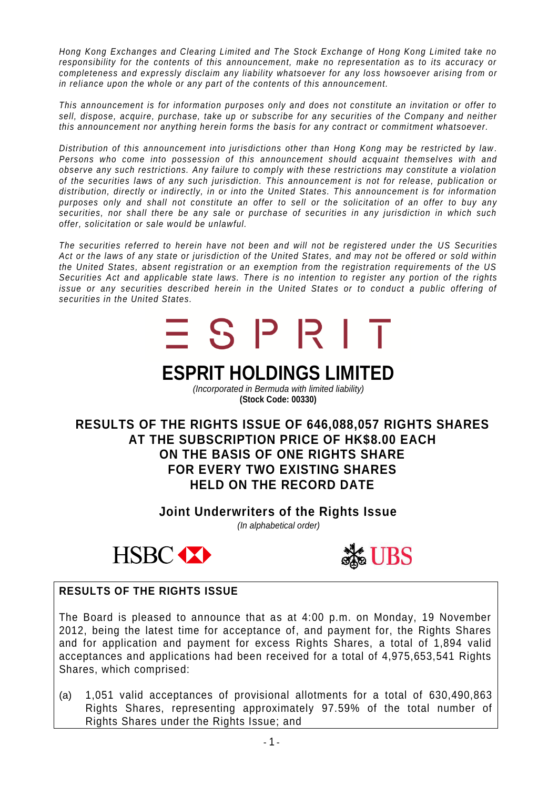*Hong Kong Exchanges and Clearing Limited and The Stock Exchange of Hong Kong Limited take no responsibility for the contents of this announcement, make no representation as to its accuracy or completeness and expressly disclaim any liability whatsoever for any loss howsoever arising from or in reliance upon the whole or any part of the contents of this announcement.*

*This announcement is for information purposes only and does not constitute an invitation or offer to sell, dispose, acquire, purchase, take up or subscribe for any securities of the Company and neither this announcement nor anything herein forms the basis for any contract or commitment whatsoever.*

*Distribution of this announcement into jurisdictions other than Hong Kong may be restricted by law . Persons who come into possession of this announcement should acquaint themselves with and observe any such restrictions. Any failure to comply with these restrictions may constitute a violation of the securities laws of any such jurisdiction. This announ cement is not for release, publication or distribution, directly or indirectly, in or into the United States. This announcement is for information purposes only and shall not constitute an offer to sell or the solicitation of an offer to buy any securities, nor shall there be any sale or purchase of securities in any jurisdiction in which such offer, solicitation or sale would be unlawful.*

*The securities referred to herein have not been and will not be registered under the US Securities Act or the laws of any state or jurisdiction of the United States, and may not be offered or sold within the United States, absent registration or an exemption from the registration requirements of the US Securities Act and applicable state laws. There is no intention to reg ister any portion of the rights issue or any securities described herein in the United States or to conduct a public offering of securities in the United States.*



*(Incorporated in Bermuda with limited liability)* **(Stock Code: 00330)**

**RESULTS OF THE RIGHTS ISSUE OF 646,088,057 RIGHTS SHARES AT THE SUBSCRIPTION PRICE OF HK\$8.00 EACH ON THE BASIS OF ONE RIGHTS SHARE FOR EVERY TWO EXISTING SHARES HELD ON THE RECORD DATE**

> **Joint Underwriters of the Rights Issue** *(In alphabetical order)*





# **RESULTS OF THE RIGHTS ISSUE**

The Board is pleased to announce that as at 4:00 p.m. on Monday, 19 November 2012, being the latest time for acceptance of, and payment for, the Rights Shares and for application and payment for excess Rights Shares, a total of 1,894 valid acceptances and applications had been received for a total of 4,975,653,541 Rights Shares, which comprised:

(a) 1,051 valid acceptances of provisional allotments for a total of 630,490,863 Rights Shares, representing approximately 97.59% of the total number of Rights Shares under the Rights Issue; and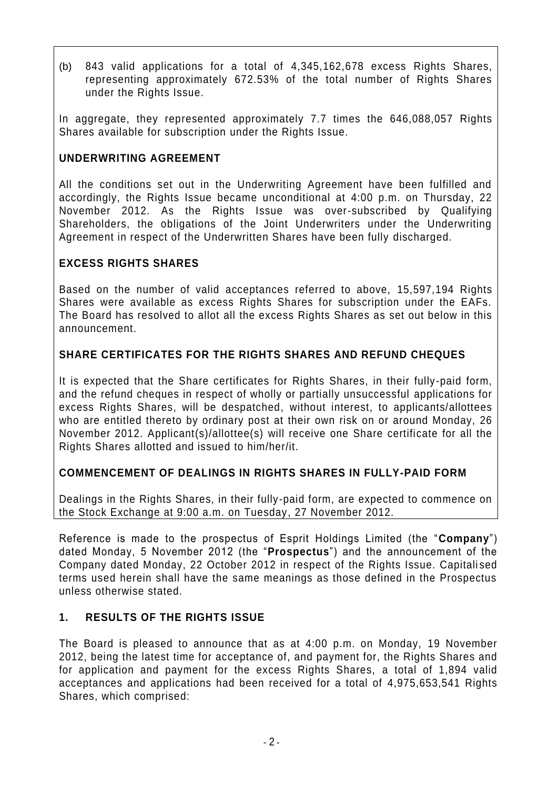(b) 843 valid applications for a total of 4,345,162,678 excess Rights Shares, representing approximately 672.53% of the total number of Rights Shares under the Rights Issue.

In aggregate, they represented approximately 7.7 times the 646,088,057 Rights Shares available for subscription under the Rights Issue.

## **UNDERWRITING AGREEMENT**

All the conditions set out in the Underwriting Agreement have been fulfilled and accordingly, the Rights Issue became unconditional at 4:00 p.m. on Thursday, 22 November 2012. As the Rights Issue was over-subscribed by Qualifying Shareholders, the obligations of the Joint Underwriters under the Underwriting Agreement in respect of the Underwritten Shares have been fully discharged.

# **EXCESS RIGHTS SHARES**

Based on the number of valid acceptances referred to above, 15,597,194 Rights Shares were available as excess Rights Shares for subscription under the EAFs. The Board has resolved to allot all the excess Rights Shares as set out below in this announcement.

## **SHARE CERTIFICATES FOR THE RIGHTS SHARES AND REFUND CHEQUES**

It is expected that the Share certificates for Rights Shares, in their fully-paid form, and the refund cheques in respect of wholly or partially unsuccessful applications for excess Rights Shares, will be despatched, without interest, to applicants/allottees who are entitled thereto by ordinary post at their own risk on or around Monday, 26 November 2012. Applicant(s)/allottee(s) will receive one Share certificate for all the Rights Shares allotted and issued to him/her/it.

# **COMMENCEMENT OF DEALINGS IN RIGHTS SHARES IN FULLY-PAID FORM**

Dealings in the Rights Shares, in their fully-paid form, are expected to commence on the Stock Exchange at 9:00 a.m. on Tuesday, 27 November 2012.

Reference is made to the prospectus of Esprit Holdings Limited (the "**Company**") dated Monday, 5 November 2012 (the "**Prospectus**") and the announcement of the Company dated Monday, 22 October 2012 in respect of the Rights Issue. Capitali sed terms used herein shall have the same meanings as those defined in the Prospectus unless otherwise stated.

## **1. RESULTS OF THE RIGHTS ISSUE**

The Board is pleased to announce that as at 4:00 p.m. on Monday, 19 November 2012, being the latest time for acceptance of, and payment for, the Rights Shares and for application and payment for the excess Rights Shares, a total of 1,894 valid acceptances and applications had been received for a total of 4,975,653,541 Rights Shares, which comprised: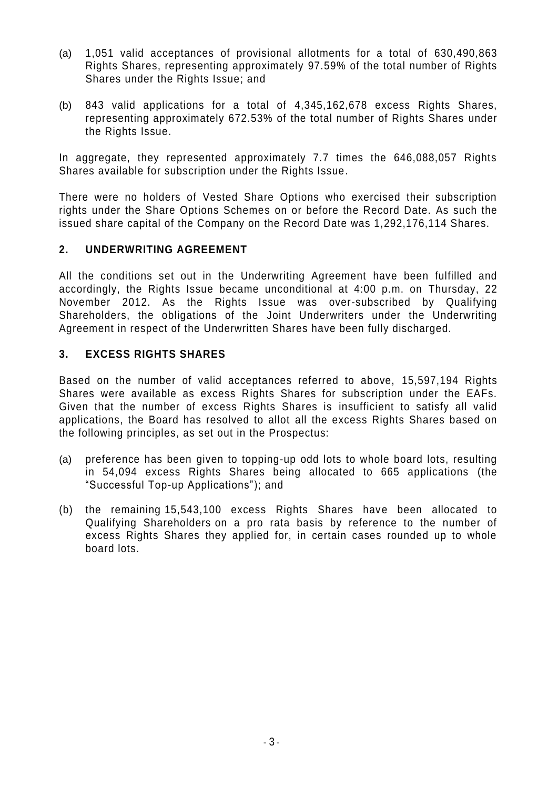- (a) 1,051 valid acceptances of provisional allotments for a total of 630,490,863 Rights Shares, representing approximately 97.59% of the total number of Rights Shares under the Rights Issue; and
- (b) 843 valid applications for a total of 4,345,162,678 excess Rights Shares, representing approximately 672.53% of the total number of Rights Shares under the Rights Issue.

In aggregate, they represented approximately 7.7 times the 646,088,057 Rights Shares available for subscription under the Rights Issue.

There were no holders of Vested Share Options who exercised their subscription rights under the Share Options Schemes on or before the Record Date. As such the issued share capital of the Company on the Record Date was 1,292,176,114 Shares.

## **2. UNDERWRITING AGREEMENT**

All the conditions set out in the Underwriting Agreement have been fulfilled and accordingly, the Rights Issue became unconditional at 4:00 p.m. on Thursday, 22 November 2012. As the Rights Issue was over-subscribed by Qualifying Shareholders, the obligations of the Joint Underwriters under the Underwriting Agreement in respect of the Underwritten Shares have been fully discharged.

## **3. EXCESS RIGHTS SHARES**

Based on the number of valid acceptances referred to above, 15,597,194 Rights Shares were available as excess Rights Shares for subscription under the EAFs. Given that the number of excess Rights Shares is insufficient to satisfy all valid applications, the Board has resolved to allot all the excess Rights Shares based on the following principles, as set out in the Prospectus:

- (a) preference has been given to topping-up odd lots to whole board lots, resulting in 54,094 excess Rights Shares being allocated to 665 applications (the "Successful Top-up Applications"); and
- (b) the remaining 15,543,100 excess Rights Shares have been allocated to Qualifying Shareholders on a pro rata basis by reference to the number of excess Rights Shares they applied for, in certain cases rounded up to whole board lots.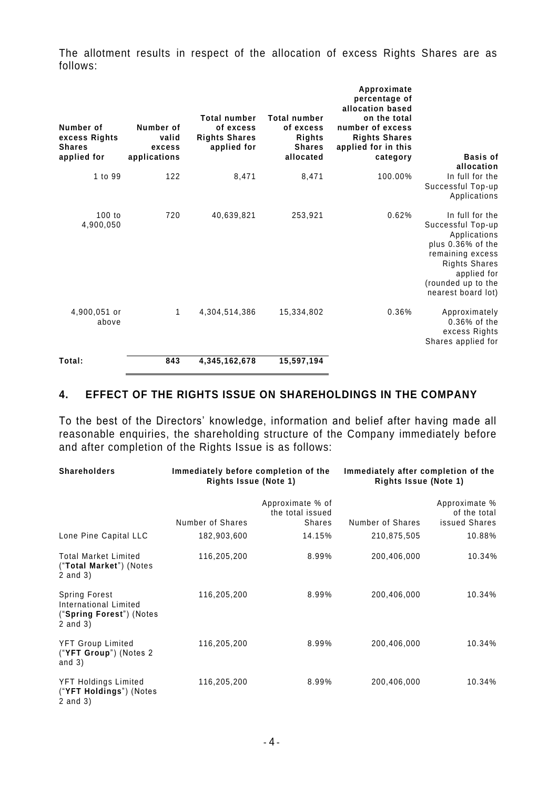The allotment results in respect of the allocation of excess Rights Shares are as follows:

| Number of<br>excess Rights<br><b>Shares</b><br>applied for | Number of<br>valid<br>excess<br>applications | <b>Total number</b><br>of excess<br><b>Rights Shares</b><br>applied for | <b>Total number</b><br>of excess<br>Rights<br><b>Shares</b><br>allocated | Approximate<br>percentage of<br>allocation based<br>on the total<br>number of excess<br><b>Rights Shares</b><br>applied for in this<br>category | Basis of<br>allocation                                                                                                                                                           |
|------------------------------------------------------------|----------------------------------------------|-------------------------------------------------------------------------|--------------------------------------------------------------------------|-------------------------------------------------------------------------------------------------------------------------------------------------|----------------------------------------------------------------------------------------------------------------------------------------------------------------------------------|
| 1 to 99                                                    | 122                                          | 8,471                                                                   | 8,471                                                                    | 100.00%                                                                                                                                         | In full for the<br>Successful Top-up<br>Applications                                                                                                                             |
| 100 to<br>4,900,050                                        | 720                                          | 40,639,821                                                              | 253,921                                                                  | 0.62%                                                                                                                                           | In full for the<br>Successful Top-up<br>Applications<br>plus 0.36% of the<br>remaining excess<br><b>Rights Shares</b><br>applied for<br>(rounded up to the<br>nearest board lot) |
| 4,900,051 or<br>above                                      | 1                                            | 4,304,514,386                                                           | 15,334,802                                                               | 0.36%                                                                                                                                           | Approximately<br>$0.36\%$ of the<br>excess Rights<br>Shares applied for                                                                                                          |
| Total:                                                     | 843                                          | 4,345,162,678                                                           | 15,597,194                                                               |                                                                                                                                                 |                                                                                                                                                                                  |

#### **4. EFFECT OF THE RIGHTS ISSUE ON SHAREHOLDINGS IN THE COMPANY**

To the best of the Directors' knowledge, information and belief after having made all reasonable enquiries, the shareholding structure of the Company immediately before and after completion of the Rights Issue is as follows:

| <b>Shareholders</b>                                                                              | Immediately before completion of the<br><b>Rights Issue (Note 1)</b> |                                                       | Immediately after completion of the<br><b>Rights Issue (Note 1)</b> |                                                |
|--------------------------------------------------------------------------------------------------|----------------------------------------------------------------------|-------------------------------------------------------|---------------------------------------------------------------------|------------------------------------------------|
|                                                                                                  | Number of Shares                                                     | Approximate % of<br>the total issued<br><b>Shares</b> | Number of Shares                                                    | Approximate %<br>of the total<br>issued Shares |
| Lone Pine Capital LLC                                                                            | 182,903,600                                                          | 14.15%                                                | 210,875,505                                                         | 10.88%                                         |
| <b>Total Market Limited</b><br>("Total Market") (Notes<br>$2$ and $3)$                           | 116,205,200                                                          | 8.99%                                                 | 200,406,000                                                         | 10.34%                                         |
| <b>Spring Forest</b><br><b>International Limited</b><br>("Spring Forest") (Notes<br>$2$ and $3)$ | 116,205,200                                                          | 8.99%                                                 | 200,406,000                                                         | 10.34%                                         |
| <b>YFT Group Limited</b><br>$("YFT Group")$ (Notes 2)<br>and $3)$                                | 116,205,200                                                          | 8.99%                                                 | 200,406,000                                                         | 10.34%                                         |
| YFT Holdings Limited<br>("YFT Holdings") (Notes<br>$2$ and $3)$                                  | 116,205,200                                                          | 8.99%                                                 | 200,406,000                                                         | 10.34%                                         |